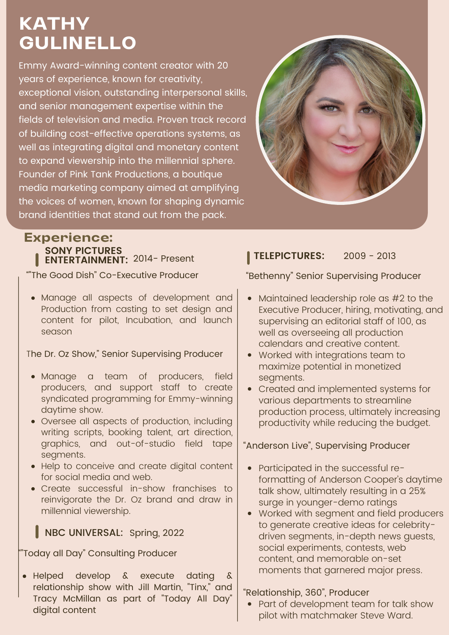# **KATHY GULINELLO**

Emmy Award-winning content creator with 20 years of experience, known for creativity, exceptional vision, outstanding interpersonal skills, and senior management expertise within the fields of television and media. Proven track record of building cost-effective operations systems, as well as integrating digital and monetary content to expand viewership into the millennial sphere. Founder of Pink Tank Productions, a boutique media marketing company aimed at amplifying the voices of women, known for shaping dynamic brand identities that stand out from the pack.



### **Experience: SONY PICTURES ENTERTAINMENT:** 2014- Present

""The Good Dish" Co-Executive Producer

Manage all aspects of development and Production from casting to set design and content for pilot, Incubation, and launch season

The Dr. Oz Show," Senior Supervising Producer

- Manage a team of producers, field producers, and support staff to create syndicated programming for Emmy-winning daytime show.
- Oversee all aspects of production, including writing scripts, booking talent, art direction, graphics, and out-of-studio field tape segments.
- Help to conceive and create digital content for social media and web.
- Create successful in-show franchises to reinvigorate the Dr. Oz brand and draw in millennial viewership.

## NBC UNIVERSAL: Spring, 2022

""Today all Day" Consulting Producer

Helped develop & execute dating & relationship show with Jill Martin, "Tinx," and Tracy McMillan as part of "Today All Day" digital content

### **TELEPICTURES:** 2009 - 2013

### "Bethenny" Senior Supervising Producer

- Maintained leadership role as #2 to the Executive Producer, hiring, motivating, and supervising an editorial staff of 100, as well as overseeing all production calendars and creative content.
- Worked with integrations team to maximize potential in monetized segments.
- Created and implemented systems for various departments to streamline production process, ultimately increasing productivity while reducing the budget.

"Anderson Live", Supervising Producer

- Participated in the successful reformatting of Anderson Cooper's daytime talk show, ultimately resulting in a 25% surge in younger-demo ratings
- Worked with segment and field producers to generate creative ideas for celebritydriven segments, in-depth news guests, social experiments, contests, web content, and memorable on-set moments that garnered major press.

"Relationship, 360", Producer

• Part of development team for talk show pilot with matchmaker Steve Ward.